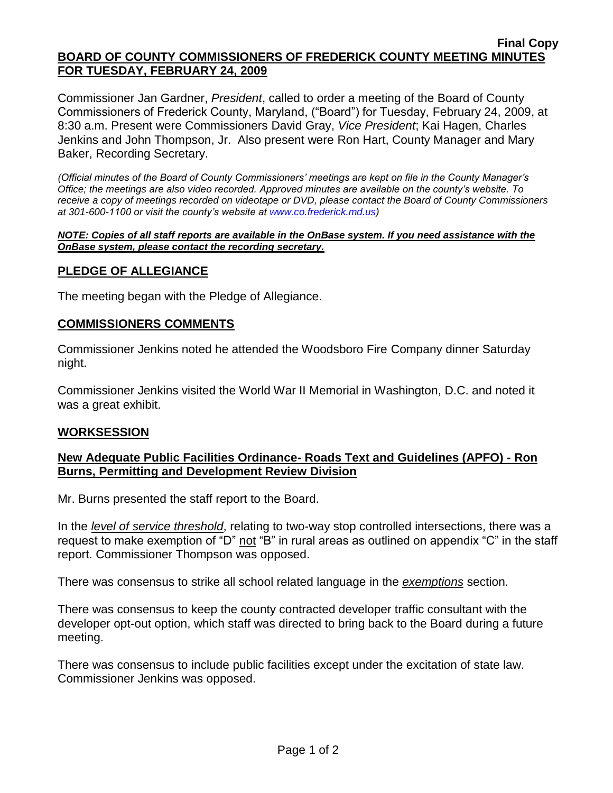### **Final Copy BOARD OF COUNTY COMMISSIONERS OF FREDERICK COUNTY MEETING MINUTES FOR TUESDAY, FEBRUARY 24, 2009**

Commissioner Jan Gardner, *President*, called to order a meeting of the Board of County Commissioners of Frederick County, Maryland, ("Board") for Tuesday, February 24, 2009, at 8:30 a.m. Present were Commissioners David Gray, *Vice President*; Kai Hagen, Charles Jenkins and John Thompson, Jr. Also present were Ron Hart, County Manager and Mary Baker, Recording Secretary.

*(Official minutes of the Board of County Commissioners' meetings are kept on file in the County Manager's Office; the meetings are also video recorded. Approved minutes are available on the county's website. To receive a copy of meetings recorded on videotape or DVD, please contact the Board of County Commissioners at 301-600-1100 or visit the county's website at [www.co.frederick.md.us\)](http://www.co.frederick.md.us/)*

#### *NOTE: Copies of all staff reports are available in the OnBase system. If you need assistance with the OnBase system, please contact the recording secretary.*

# **PLEDGE OF ALLEGIANCE**

The meeting began with the Pledge of Allegiance.

# **COMMISSIONERS COMMENTS**

Commissioner Jenkins noted he attended the Woodsboro Fire Company dinner Saturday night.

Commissioner Jenkins visited the World War II Memorial in Washington, D.C. and noted it was a great exhibit.

# **WORKSESSION**

# **New Adequate Public Facilities Ordinance- Roads Text and Guidelines (APFO) - Ron Burns, Permitting and Development Review Division**

Mr. Burns presented the staff report to the Board.

In the *level of service threshold*, relating to two-way stop controlled intersections, there was a request to make exemption of "D" not "B" in rural areas as outlined on appendix "C" in the staff report. Commissioner Thompson was opposed.

There was consensus to strike all school related language in the *exemptions* section.

There was consensus to keep the county contracted developer traffic consultant with the developer opt-out option, which staff was directed to bring back to the Board during a future meeting.

There was consensus to include public facilities except under the excitation of state law. Commissioner Jenkins was opposed.